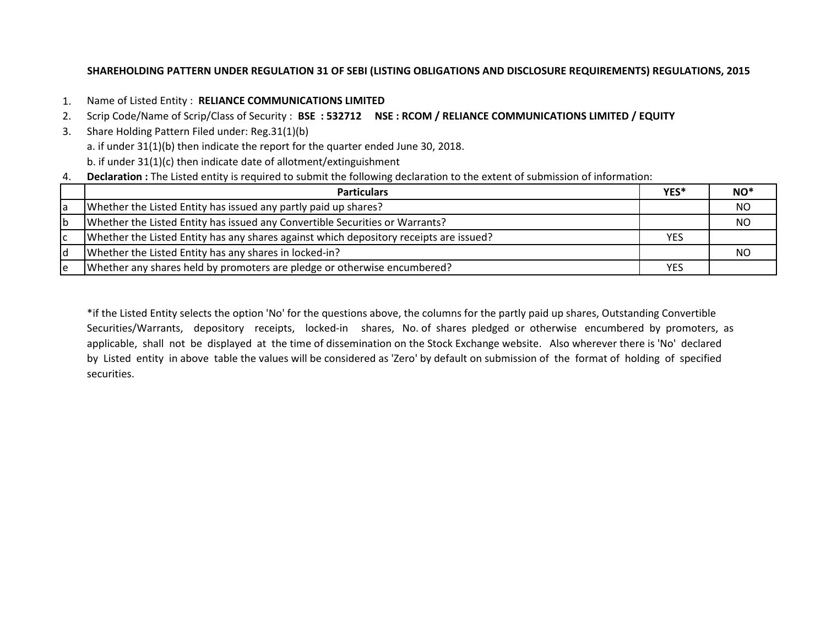#### **SHAREHOLDING PATTERN UNDER REGULATION 31 OF SEBI (LISTING OBLIGATIONS AND DISCLOSURE REQUIREMENTS) REGULATIONS, 2015**

- 1. Name of Listed Entity : **RELIANCE COMMUNICATIONS LIMITED**
- 2. Scrip Code/Name of Scrip/Class of Security : **BSE : 532712 NSE : RCOM / RELIANCE COMMUNICATIONS LIMITED / EQUITY**
- 3. Share Holding Pattern Filed under: Reg.31(1)(b) a. if under 31(1)(b) then indicate the report for the quarter ended June 30, 2018. b. if under 31(1)(c) then indicate date of allotment/extinguishment
- 4. **Declaration :** The Listed entity is required to submit the following declaration to the extent of submission of information:

|    | <b>Particulars</b>                                                                     | YES*       | $NO^*$ |
|----|----------------------------------------------------------------------------------------|------------|--------|
| a  | Whether the Listed Entity has issued any partly paid up shares?                        |            | NO.    |
| Ib | Whether the Listed Entity has issued any Convertible Securities or Warrants?           |            | NO     |
| ١c | Whether the Listed Entity has any shares against which depository receipts are issued? | <b>YES</b> |        |
| ١d | Whether the Listed Entity has any shares in locked-in?                                 |            | NO     |
| ١e | Whether any shares held by promoters are pledge or otherwise encumbered?               | <b>YES</b> |        |

\*if the Listed Entity selects the option 'No' for the questions above, the columns for the partly paid up shares, Outstanding Convertible Securities/Warrants, depository receipts, locked-in shares, No. of shares pledged or otherwise encumbered by promoters, as applicable, shall not be displayed at the time of dissemination on the Stock Exchange website. Also wherever there is 'No' declared by Listed entity in above table the values will be considered as 'Zero' by default on submission of the format of holding of specified securities.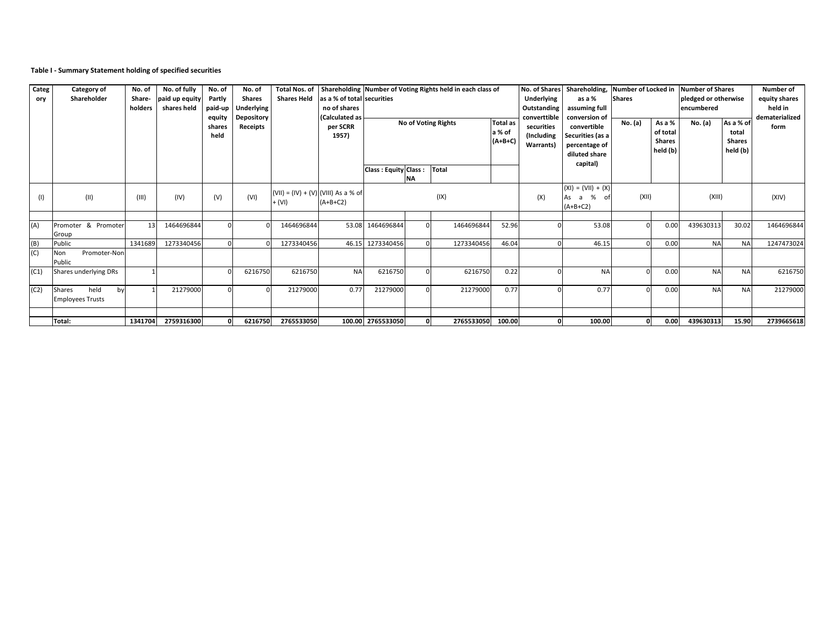### **Table I - Summary Statement holding of specified securities**

| Categ<br>ory | <b>Category of</b><br>Shareholder                      | No. of<br>Share-<br>holders | No. of fully<br>paid up equity<br>shares held | No. of<br><b>Partly</b><br>paid-up<br>equity<br>shares<br>held | No. of<br><b>Shares</b><br><b>Underlying</b><br><b>Depository</b><br>Receipts | <b>Shares Held</b>                                | as a % of total securities<br>no of shares<br>(Calculated as<br>per SCRR<br>1957) |                      |           | Total Nos. of Shareholding Number of Voting Rights held in each class of<br><b>No of Voting Rights</b> | <b>Total as</b><br>a % of<br>$(A+B+C)$ | <b>Underlying</b><br>Outstanding<br>converttible<br>securities<br>(Including<br><b>Warrants)</b> | No. of Shares   Shareholding, Number of Locked in<br>as a %<br>assuming full<br>conversion of<br>convertible<br>Securities (as a<br>percentage of<br>diluted share | <b>Shares</b><br>No. (a) | As a %<br>of total<br><b>Shares</b><br>held (b) | Number of Shares<br>pledged or otherwise<br>lencumbered<br><b>No.</b> (a) | As a % of<br>total<br><b>Shares</b><br>held (b) | <b>Number of</b><br>equity shares<br>held in<br>dematerialized<br>form |
|--------------|--------------------------------------------------------|-----------------------------|-----------------------------------------------|----------------------------------------------------------------|-------------------------------------------------------------------------------|---------------------------------------------------|-----------------------------------------------------------------------------------|----------------------|-----------|--------------------------------------------------------------------------------------------------------|----------------------------------------|--------------------------------------------------------------------------------------------------|--------------------------------------------------------------------------------------------------------------------------------------------------------------------|--------------------------|-------------------------------------------------|---------------------------------------------------------------------------|-------------------------------------------------|------------------------------------------------------------------------|
|              |                                                        |                             |                                               |                                                                |                                                                               |                                                   |                                                                                   | Class: Equity Class: | <b>NA</b> | Total                                                                                                  |                                        |                                                                                                  | capital)                                                                                                                                                           |                          |                                                 |                                                                           |                                                 |                                                                        |
| (1)          | (11)                                                   | (III)                       | (IV)                                          | (V)                                                            | (VI)                                                                          | $(VIII) = (IV) + (V) (VIII)$ As a % of<br>$+ (V)$ | $(A+B+C2)$                                                                        |                      |           | (IX)                                                                                                   |                                        | (X)                                                                                              | $(XI) = (VII) + (X)$<br>As a %<br>- of<br>$(A+B+C2)$                                                                                                               | (XII)                    |                                                 | (XIII)                                                                    |                                                 | (XIV)                                                                  |
| (A)          | Promoter & Promoter<br>Group                           | 13                          | 1464696844                                    |                                                                |                                                                               | 1464696844                                        |                                                                                   | 53.08 1464696844     |           | 1464696844                                                                                             | 52.96                                  |                                                                                                  | 53.08                                                                                                                                                              |                          | 0.00                                            | 439630313                                                                 | 30.02                                           | 1464696844                                                             |
| (B)          | Public                                                 | 1341689                     | 1273340456                                    |                                                                |                                                                               | 1273340456                                        |                                                                                   | 46.15 1273340456     |           | 1273340456                                                                                             | 46.04                                  |                                                                                                  | 46.15                                                                                                                                                              |                          | 0.00                                            | <b>NA</b>                                                                 | <b>NA</b>                                       | 1247473024                                                             |
| (C)          | Promoter-Non<br>Non<br>Public                          |                             |                                               |                                                                |                                                                               |                                                   |                                                                                   |                      |           |                                                                                                        |                                        |                                                                                                  |                                                                                                                                                                    |                          |                                                 |                                                                           |                                                 |                                                                        |
| (C1)         | Shares underlying DRs                                  |                             |                                               |                                                                | 6216750                                                                       | 6216750                                           | <b>NA</b>                                                                         | 6216750              |           | 6216750                                                                                                | 0.22                                   |                                                                                                  | <b>NA</b>                                                                                                                                                          |                          | 0.00                                            | <b>NA</b>                                                                 | <b>NA</b>                                       | 6216750                                                                |
| (C2)         | held<br><b>Shares</b><br>by<br><b>Employees Trusts</b> |                             | 21279000                                      |                                                                |                                                                               | 21279000                                          | 0.77                                                                              | 21279000             |           | 21279000                                                                                               | 0.77                                   |                                                                                                  | 0.77                                                                                                                                                               |                          | 0.00                                            | <b>NA</b>                                                                 | <b>NA</b>                                       | 21279000                                                               |
|              |                                                        |                             |                                               |                                                                |                                                                               |                                                   |                                                                                   |                      |           |                                                                                                        |                                        |                                                                                                  |                                                                                                                                                                    |                          |                                                 |                                                                           |                                                 |                                                                        |
|              | Total:                                                 | 1341704                     | 2759316300                                    |                                                                | 6216750                                                                       | 2765533050                                        |                                                                                   | 100.00 2765533050    |           | 2765533050                                                                                             | 100.00                                 | $\mathbf{0}$                                                                                     | 100.00                                                                                                                                                             |                          | 0.00                                            | 439630313                                                                 | 15.90                                           | 2739665618                                                             |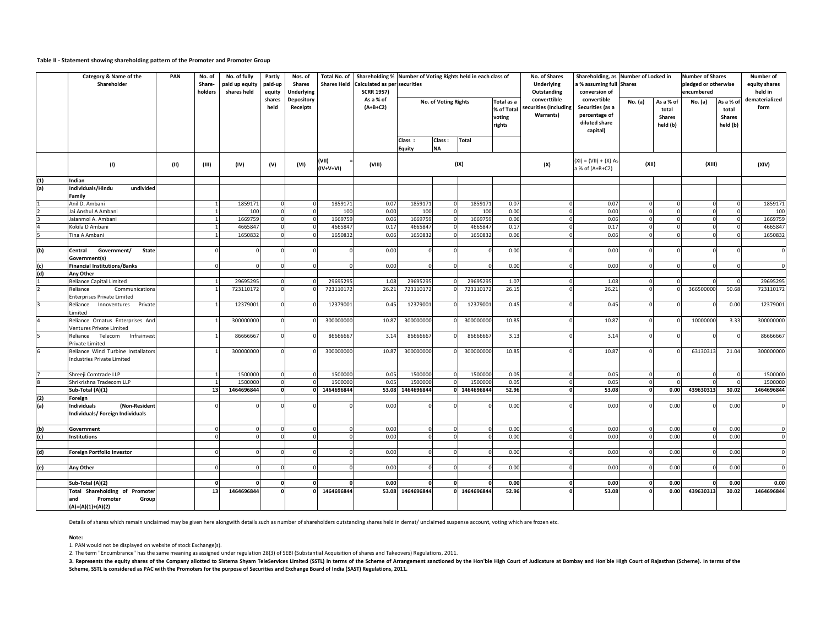# **Table II - Statement showing shareholding pattern of the Promoter and Promoter Group**

3. Represents the equity shares of the Company allotted to Sistema Shyam TeleServices Limited (SSTL) in terms of the Scheme of Arrangement sanctioned by the Hon'ble High Court of Judicature at Bombay and Hon'ble High Court **Scheme, SSTL is considered as PAC with the Promoters for the purpose of Securities and Exchange Board of India (SAST) Regulations, 2011.**

|     | <b>Category &amp; Name of the</b><br>Shareholder                        | <b>PAN</b> | No. of<br>Share-<br>holders | No. of fully<br>paid up equity<br>shares held | Partly<br>paid-up<br>equity | Nos. of<br><b>Shares</b><br><b>Underlying</b> |                      | Total No. of   Shareholding %   Number of Voting Rights held in each class of<br>Shares Held Calculated as per securities<br><b>SCRR 1957)</b><br>As a % of<br>$(A+B+C2)$ |                          |                     |              |                                              | <b>No. of Shares</b><br><b>Underlying</b><br>Outstanding  | Shareholding, as Number of Locked in<br>a % assuming full Shares<br>conversion of |                |                                                 | <b>Number of Shares</b><br>pledged or otherwise<br>encumbered |                                                 | <b>Number of</b><br>equity shares<br>held in |
|-----|-------------------------------------------------------------------------|------------|-----------------------------|-----------------------------------------------|-----------------------------|-----------------------------------------------|----------------------|---------------------------------------------------------------------------------------------------------------------------------------------------------------------------|--------------------------|---------------------|--------------|----------------------------------------------|-----------------------------------------------------------|-----------------------------------------------------------------------------------|----------------|-------------------------------------------------|---------------------------------------------------------------|-------------------------------------------------|----------------------------------------------|
|     |                                                                         |            |                             |                                               | shares<br>held              | <b>Depository</b><br><b>Receipts</b>          |                      |                                                                                                                                                                           | No. of Voting Rights     |                     |              | Total as a<br>% of Total<br>voting<br>rights | converttible<br>securities (Including<br><b>Warrants)</b> | convertible<br>Securities (as a<br>percentage of<br>diluted share<br>capital)     | <b>No.</b> (a) | As a % of<br>total<br><b>Shares</b><br>held (b) | No. (a)                                                       | As a % of<br>total<br><b>Shares</b><br>held (b) | dematerialized<br>form                       |
|     |                                                                         |            |                             |                                               |                             |                                               |                      |                                                                                                                                                                           | Class :<br><b>Equity</b> | Class:<br><b>NA</b> | Total        |                                              |                                                           |                                                                                   |                |                                                 |                                                               |                                                 |                                              |
|     | (1)                                                                     | (11)       | (III)                       | (IV)                                          | (V)                         | (VI)                                          | (VII)<br>$(IV+V+VI)$ | (VIII)                                                                                                                                                                    |                          |                     | (IX)         |                                              | (X)                                                       | $(XI) = (VII) + (X) As$<br>$a$ % of (A+B+C2)                                      | (XII)          |                                                 | (XIII)                                                        |                                                 | (XIV)                                        |
| (1) | Indian                                                                  |            |                             |                                               |                             |                                               |                      |                                                                                                                                                                           |                          |                     |              |                                              |                                                           |                                                                                   |                |                                                 |                                                               |                                                 |                                              |
| (a) | Individuals/Hindu<br>undivided<br>Family                                |            |                             |                                               |                             |                                               |                      |                                                                                                                                                                           |                          |                     |              |                                              |                                                           |                                                                                   |                |                                                 |                                                               |                                                 |                                              |
|     | Anil D. Ambani                                                          |            |                             | 1859171                                       |                             |                                               | 1859171              | 0.07                                                                                                                                                                      | 1859171                  |                     | 1859171      | 0.07                                         |                                                           | 0.07                                                                              |                |                                                 |                                                               |                                                 | 1859171                                      |
|     | Jai Anshul A Ambani                                                     |            |                             | 100                                           |                             |                                               | 100                  | 0.00                                                                                                                                                                      | 100                      |                     | 100          | 0.00                                         |                                                           | 0.00                                                                              |                |                                                 |                                                               |                                                 | 100                                          |
|     | Jaianmol A. Ambani                                                      |            |                             | 1669759                                       |                             |                                               | 1669759              | 0.06                                                                                                                                                                      | 1669759                  |                     | 1669759      | 0.06                                         |                                                           | 0.06                                                                              |                |                                                 |                                                               |                                                 | 1669759                                      |
|     | Kokila D Ambani                                                         |            |                             | 4665847                                       |                             |                                               | 4665847              | 0.17                                                                                                                                                                      | 4665847                  |                     | 4665847      | 0.17                                         |                                                           | 0.17                                                                              |                |                                                 |                                                               |                                                 | 4665847                                      |
|     | Tina A Ambani                                                           |            |                             | 1650832                                       |                             |                                               | 1650832              | 0.06                                                                                                                                                                      | 1650832                  |                     | 1650832      | 0.06                                         |                                                           | 0.06                                                                              |                |                                                 |                                                               |                                                 | 1650832                                      |
|     |                                                                         |            |                             |                                               |                             |                                               |                      |                                                                                                                                                                           |                          |                     |              |                                              |                                                           |                                                                                   |                |                                                 |                                                               |                                                 |                                              |
| (b) | Government/<br><b>State</b><br><b>Central</b><br>Government(s)          |            |                             |                                               |                             |                                               |                      | 0.00                                                                                                                                                                      |                          |                     |              | 0.00                                         |                                                           | 0.00                                                                              |                |                                                 |                                                               |                                                 |                                              |
| (c) | <b>Financial Institutions/Banks</b>                                     |            |                             |                                               |                             |                                               |                      | 0.00                                                                                                                                                                      |                          |                     |              | 0.00                                         |                                                           | 0.00                                                                              |                |                                                 | $\Omega$                                                      |                                                 | $\Omega$                                     |
| (d) | Any Other                                                               |            |                             |                                               |                             |                                               |                      |                                                                                                                                                                           |                          |                     |              |                                              |                                                           |                                                                                   |                |                                                 |                                                               |                                                 |                                              |
|     | Reliance Capital Limited                                                |            |                             | 29695295                                      |                             |                                               | 29695295             | 1.08                                                                                                                                                                      | 29695295                 |                     | 29695295     | 1.07                                         |                                                           | 1.08                                                                              |                |                                                 |                                                               |                                                 | 29695295                                     |
|     | Reliance<br>Communications<br><b>Enterprises Private Limited</b>        |            |                             | 723110172                                     |                             |                                               | 723110172            | 26.21                                                                                                                                                                     | 723110172                |                     | 723110172    | 26.15                                        |                                                           | 26.21                                                                             |                |                                                 | 366500000                                                     | 50.68                                           | 723110172                                    |
|     | Reliance Innoventures Private<br>Limited                                |            |                             | 12379001                                      |                             |                                               | 12379001             | 0.45                                                                                                                                                                      | 12379001                 |                     | 12379001     | 0.45                                         |                                                           | 0.45                                                                              | 0I             |                                                 |                                                               | 0.00                                            | 12379001                                     |
|     | Reliance Ornatus Enterprises And<br><b>Ventures Private Limited</b>     |            |                             | 300000000                                     |                             |                                               | 300000000            | 10.87                                                                                                                                                                     | 300000000                |                     | 300000000    | 10.85                                        |                                                           | 10.87                                                                             |                |                                                 | 10000000                                                      | 3.33                                            | 300000000                                    |
|     | Infrainvest<br>Reliance Telecom<br>Private Limited                      |            |                             | 86666667                                      |                             |                                               | 86666667             | 3.14                                                                                                                                                                      | 86666667                 |                     | 86666667     | 3.13                                         |                                                           | 3.14                                                                              |                |                                                 |                                                               |                                                 | 86666667                                     |
|     | Reliance Wind Turbine Installators<br>Industries Private Limited        |            |                             | 30000000                                      |                             |                                               | 300000000            | 10.87                                                                                                                                                                     | 300000000                |                     | 300000000    | 10.85                                        |                                                           | 10.87                                                                             |                |                                                 | 63130313                                                      | 21.04                                           | 300000000                                    |
|     | Shreeji Comtrade LLP                                                    |            |                             | 1500000                                       |                             |                                               | 1500000              | 0.05                                                                                                                                                                      | 1500000                  |                     | 1500000      | 0.05                                         |                                                           | 0.05                                                                              |                |                                                 |                                                               |                                                 | 1500000                                      |
|     | Shrikrishna Tradecom LLP                                                |            |                             | 1500000                                       |                             |                                               | 1500000              | 0.05                                                                                                                                                                      | 1500000                  |                     | 1500000      | 0.05                                         |                                                           | 0.05                                                                              |                |                                                 |                                                               |                                                 | 1500000                                      |
|     | Sub-Total (A)(1)                                                        |            | 13                          | 1464696844                                    |                             |                                               | 1464696844           |                                                                                                                                                                           | 53.08 1464696844         |                     | 0 1464696844 | 52.96                                        |                                                           | 53.08                                                                             |                | 0.00                                            | 439630313                                                     | 30.02                                           | 1464696844                                   |
| (2) | Foreign                                                                 |            |                             |                                               |                             |                                               |                      |                                                                                                                                                                           |                          |                     |              |                                              |                                                           |                                                                                   |                |                                                 |                                                               |                                                 |                                              |
| (a) | <b>Individuals</b><br>(Non-Resident<br>Individuals/ Foreign Individuals |            |                             |                                               |                             |                                               |                      | 0.00                                                                                                                                                                      |                          |                     |              | 0.00                                         |                                                           | 0.00                                                                              |                | 0.00                                            |                                                               | 0.00                                            | $\Omega$                                     |
| (b) | Government                                                              |            |                             |                                               |                             |                                               |                      | 0.00                                                                                                                                                                      |                          |                     |              | 0.00                                         |                                                           | 0.00                                                                              |                | 0.00                                            |                                                               | 0.00                                            | $\Omega$                                     |
| (c) | <b>Institutions</b>                                                     |            |                             |                                               |                             |                                               |                      | 0.00                                                                                                                                                                      |                          |                     |              | 0.00                                         |                                                           | 0.00                                                                              |                | 0.00                                            |                                                               | 0.00                                            | $\Omega$                                     |
|     |                                                                         |            |                             |                                               |                             |                                               |                      |                                                                                                                                                                           |                          |                     |              |                                              |                                                           |                                                                                   |                |                                                 |                                                               |                                                 |                                              |
| (d) | <b>Foreign Portfolio Investor</b>                                       |            |                             |                                               |                             |                                               |                      | 0.00                                                                                                                                                                      |                          |                     |              | 0.00                                         |                                                           | 0.00                                                                              |                | 0.00                                            |                                                               | 0.00                                            | $\Omega$                                     |
| (e) | Any Other                                                               |            |                             |                                               |                             |                                               |                      | 0.00                                                                                                                                                                      |                          |                     |              | 0.00                                         |                                                           | 0.00                                                                              |                | 0.00                                            |                                                               | 0.00                                            | $\Omega$                                     |
|     |                                                                         |            |                             |                                               |                             |                                               |                      |                                                                                                                                                                           |                          |                     |              |                                              |                                                           |                                                                                   |                |                                                 |                                                               |                                                 |                                              |
|     | Sub-Total (A)(2)                                                        |            |                             |                                               |                             |                                               |                      | 0.00                                                                                                                                                                      |                          |                     |              | 0.00                                         |                                                           | 0.00                                                                              |                | 0.00                                            |                                                               | 0.00                                            | 0.00                                         |
|     | Total Shareholding of Promoter                                          |            | 13                          | 1464696844                                    |                             |                                               | 1464696844           |                                                                                                                                                                           | 53.08 1464696844         |                     | 0 1464696844 | 52.96                                        |                                                           | 53.08                                                                             |                | 0.00                                            | 439630313                                                     | 30.02                                           | 1464696844                                   |
|     | Promoter<br><b>Group</b><br>and<br>$(A)=(A)(1)+(A)(2)$                  |            |                             |                                               |                             |                                               |                      |                                                                                                                                                                           |                          |                     |              |                                              |                                                           |                                                                                   |                |                                                 |                                                               |                                                 |                                              |

Details of shares which remain unclaimed may be given here alongwith details such as number of shareholders outstanding shares held in demat/ unclaimed suspense account, voting which are frozen etc.

**Note:**

2. The term "Encumbrance" has the same meaning as assigned under regulation 28(3) of SEBI (Substantial Acquisition of shares and Takeovers) Regulations, 2011.

1. PAN would not be displayed on website of stock Exchange(s).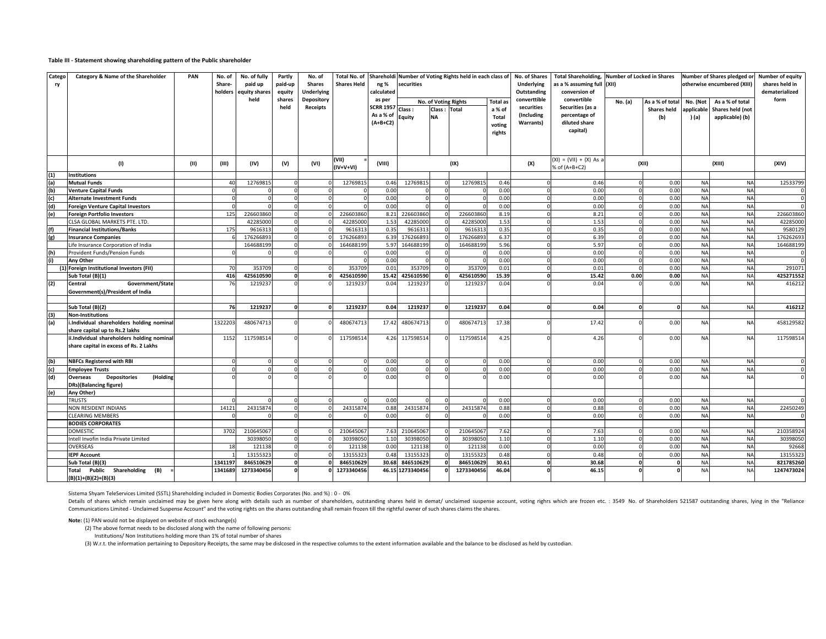### **Table III - Statement showing shareholding pattern of the Public shareholder**

Details of shares which remain unclaimed may be given here along with details such as number of shareholders, outstanding shares held in demat/ unclaimed suspense account, voting righrs which are frozen etc. : 3549 No. of Communications Limited - Unclaimed Suspense Account" and the voting rights on the shares outstanding shall remain frozen till the rightful owner of such shares claims the shares.

| <b>Catego</b><br>ry | <b>Category &amp; Name of the Shareholder</b>                                        | <b>PAN</b> | No. of<br>Share- | No. of fully<br>paid up<br>holders equity shares | Partly<br>paid-up<br>equity | No. of<br><b>Shares</b><br><b>Underlying</b> | <b>Shares Held</b>   | Total No. of Shareholdi Number of Voting Rights held in each class of No. of Shares<br>ng %<br>securities<br>calculated |                  |                                              |            |                                                               | <b>Underlying</b><br><b>Outstanding</b>               | Total Shareholding, Number of Locked in Shares<br>as a % assuming full $ (XII) $<br>conversion of |         |       |            | Number of Shares pledged or<br>otherwise encumbered (XIII)                                                         | <b>Number of equity</b><br>shares held in<br>dematerialized |
|---------------------|--------------------------------------------------------------------------------------|------------|------------------|--------------------------------------------------|-----------------------------|----------------------------------------------|----------------------|-------------------------------------------------------------------------------------------------------------------------|------------------|----------------------------------------------|------------|---------------------------------------------------------------|-------------------------------------------------------|---------------------------------------------------------------------------------------------------|---------|-------|------------|--------------------------------------------------------------------------------------------------------------------|-------------------------------------------------------------|
|                     |                                                                                      |            |                  | held                                             | shares<br>held              | <b>Depository</b><br>Receipts                |                      | as per<br>SCRR 1957 Class :<br>As a % of<br>$(A+B+C2)$                                                                  | Equity           | No. of Voting Rights<br>Class :<br><b>NA</b> | Total      | <b>Total</b> as<br>a % of<br><b>Total</b><br>voting<br>rights | converttible<br>securities<br>(Including<br>Warrants) | convertible<br>Securities (as a<br>percentage of<br>diluted share<br>capital)                     | No. (a) | (b)   | ) (a)      | $ As a % of total   No. (Not   As a % of total)$<br>Shares held   applicable   Shares held (not<br>applicable) (b) | form                                                        |
|                     | (1)                                                                                  | (11)       | (III)            | (IV)                                             | (V)                         | (VI)                                         | (VII)<br>$(IV+V+VI)$ | (VIII)                                                                                                                  |                  |                                              | (IX)       |                                                               | (X)                                                   | $(XI) = (VII) + (X) As a$<br>% of (A+B+C2)                                                        |         | (XII) |            | (XIII)                                                                                                             | (XIV)                                                       |
| (1)                 | Institutions                                                                         |            |                  |                                                  |                             |                                              |                      |                                                                                                                         |                  |                                              |            |                                                               |                                                       |                                                                                                   |         |       |            |                                                                                                                    |                                                             |
| (a)                 | <b>Mutual Funds</b>                                                                  |            | 40               | 12769815                                         |                             |                                              | 12769815             | 0.46                                                                                                                    | 12769815         |                                              | 12769815   | 0.46                                                          |                                                       | 0.46                                                                                              |         | 0.00  | <b>NA</b>  | <b>NA</b>                                                                                                          | 12533799                                                    |
| (b)                 | <b>Venture Capital Funds</b>                                                         |            |                  |                                                  |                             |                                              |                      | 0.00                                                                                                                    |                  |                                              |            | 0.00                                                          |                                                       | 0.00                                                                                              |         | 0.00  | <b>NA</b>  | <b>NA</b>                                                                                                          |                                                             |
| (c)                 | Alternate Investment Funds                                                           |            |                  |                                                  |                             |                                              |                      | 0.00                                                                                                                    |                  |                                              |            | 0.00                                                          |                                                       | 0.00                                                                                              |         | 0.00  | <b>NAI</b> | <b>NA</b>                                                                                                          |                                                             |
| (d)                 | <b>Foreign Venture Capital Investors</b>                                             |            |                  |                                                  |                             |                                              |                      | 0.00                                                                                                                    |                  |                                              |            | 0.00                                                          |                                                       | 0.00                                                                                              |         | 0.00  | <b>NA</b>  | <b>NA</b>                                                                                                          | $\overline{0}$                                              |
| (e)                 | Foreign Portfolio Investors                                                          |            | 125              | 226603860                                        |                             |                                              | 226603860            | 8.21                                                                                                                    | 226603860        |                                              | 22660386   | 8.19                                                          |                                                       | 8.21                                                                                              |         | 0.00  | <b>NA</b>  | <b>NA</b>                                                                                                          | 226603860                                                   |
|                     | <b>CLSA GLOBAL MARKETS PTE. LTD.</b>                                                 |            |                  | 42285000                                         |                             |                                              | 42285000             | 1.53                                                                                                                    | 42285000         |                                              | 42285000   | 1.53                                                          |                                                       | 1.53                                                                                              |         | 0.00  | <b>NA</b>  | <b>NA</b>                                                                                                          | 42285000                                                    |
| (f)                 | <b>Financial Institutions/Banks</b>                                                  |            | 175              | 9616313                                          |                             |                                              | 9616313              | 0.35                                                                                                                    | 9616313          |                                              | 9616313    | 0.35                                                          |                                                       | 0.35                                                                                              |         | 0.00  | <b>NA</b>  | <b>NA</b>                                                                                                          | 9580129                                                     |
| $\vert$ (g)         | Insurance Companies                                                                  |            |                  | 176266893                                        |                             |                                              | 176266893            |                                                                                                                         | 6.39 176266893   |                                              | 176266893  | 6.37                                                          |                                                       | 6.39                                                                                              |         | 0.00  | <b>NA</b>  | <b>NA</b>                                                                                                          | 176262693                                                   |
|                     | Life Insurance Corporation of India                                                  |            |                  | 164688199                                        |                             |                                              | 164688199            | 5.97                                                                                                                    | 164688199        |                                              | 164688199  | 5.96                                                          |                                                       | 5.97                                                                                              |         | 0.00  | <b>NA</b>  | <b>NA</b>                                                                                                          | 164688199                                                   |
| (h)                 | Provident Funds/Pension Funds                                                        |            |                  |                                                  |                             |                                              |                      | 0.00                                                                                                                    |                  |                                              |            | 0.00                                                          |                                                       | 0.00                                                                                              |         | 0.00  | <b>NA</b>  | <b>NA</b>                                                                                                          | $\mathbf 0$                                                 |
| (i)                 | <b>Any Other</b>                                                                     |            |                  |                                                  |                             |                                              |                      | 0.00                                                                                                                    |                  |                                              |            | 0.00                                                          |                                                       | 0.00                                                                                              |         | 0.00  | <b>NA</b>  | <b>NA</b>                                                                                                          | $\Omega$                                                    |
|                     | (1) Foreign Institutional Investors (FII)                                            |            | 70               | 353709                                           |                             |                                              | 353709               | 0.01                                                                                                                    | 353709           |                                              | 353709     | 0.01                                                          |                                                       | 0.01                                                                                              |         | 0.00  | <b>NA</b>  | <b>NA</b>                                                                                                          | 291071                                                      |
|                     | Sub Total (B)(1)                                                                     |            | 416              | 425610590                                        |                             |                                              | 425610590            | 15.42                                                                                                                   | 425610590        |                                              | 425610590  | 15.39                                                         |                                                       | 15.42                                                                                             | 0.00    | 0.00  | <b>NA</b>  | <b>NA</b>                                                                                                          | 425271552                                                   |
| (2)                 | Government/State<br><b>Central</b><br>Government(s)/President of India               |            | -76              | 1219237                                          |                             |                                              | 1219237              | 0.04                                                                                                                    | 1219237          |                                              | 1219237    | 0.04                                                          |                                                       | 0.04                                                                                              |         | 0.00  |            | <b>NAI</b>                                                                                                         | 416212                                                      |
|                     | Sub Total (B)(2)                                                                     |            | 76 I             | 1219237                                          |                             |                                              | 1219237              | 0.04                                                                                                                    | 1219237          | $\mathbf{r}$                                 | 1219237    | 0.04                                                          |                                                       | 0.04                                                                                              |         |       | <b>NA</b>  | <b>NA</b>                                                                                                          | 416212                                                      |
| (3)                 | Non-Institutions                                                                     |            |                  |                                                  |                             |                                              |                      |                                                                                                                         |                  |                                              |            |                                                               |                                                       |                                                                                                   |         |       |            |                                                                                                                    |                                                             |
| (a)                 | i.Individual shareholders holding nominal<br>share capital up to Rs.2 lakhs          |            | 1322203          | 480674713                                        |                             |                                              | 480674713            |                                                                                                                         | 17.42 480674713  |                                              | 480674713  | 17.38                                                         |                                                       | 17.42                                                                                             |         | 0.00  | <b>NA</b>  | <b>NA</b>                                                                                                          | 458129582                                                   |
|                     | ii.Individual shareholders holding nominal<br>share capital in excess of Rs. 2 Lakhs |            | 1152             | 117598514                                        |                             |                                              | 117598514            |                                                                                                                         | 4.26 117598514   |                                              | 117598514  | 4.25                                                          |                                                       | 4.26                                                                                              |         | 0.00  | <b>NA</b>  | <b>NA</b>                                                                                                          | 117598514                                                   |
| $\vert$ (b)         | <b>NBFCs Registered with RBI</b>                                                     |            |                  |                                                  |                             |                                              |                      | 0.00                                                                                                                    |                  |                                              |            | 0.00                                                          |                                                       | 0.00                                                                                              |         | 0.00  | <b>NA</b>  | <b>NA</b>                                                                                                          | $\mathbf{0}$                                                |
| (c)                 | <b>Employee Trusts</b>                                                               |            |                  |                                                  |                             |                                              |                      | 0.00                                                                                                                    |                  |                                              |            | 0.00                                                          |                                                       | 0.00                                                                                              |         | 0.00  | <b>NA</b>  | <b>NA</b>                                                                                                          |                                                             |
| (d)                 | (Holding<br><b>Depositories</b><br><b>Overseas</b><br>DRs)(Balancing figure)         |            |                  |                                                  |                             |                                              |                      | 0.00                                                                                                                    |                  |                                              |            | 0.00                                                          |                                                       | 0.00                                                                                              |         | 0.00  | <b>NA</b>  | <b>NA</b>                                                                                                          |                                                             |
| (e)                 | <b>Any Other)</b>                                                                    |            |                  |                                                  |                             |                                              |                      |                                                                                                                         |                  |                                              |            |                                                               |                                                       |                                                                                                   |         |       |            |                                                                                                                    |                                                             |
|                     | <b>TRUSTS</b>                                                                        |            |                  |                                                  |                             |                                              |                      | 0.00                                                                                                                    |                  |                                              |            | 0.00                                                          |                                                       | 0.00                                                                                              |         | 0.00  | <b>NA</b>  | <b>NA</b>                                                                                                          |                                                             |
|                     | <b>NON RESIDENT INDIANS</b>                                                          |            | 14121            | 24315874                                         |                             |                                              | 24315874             | 0.88                                                                                                                    | 24315874         |                                              | 24315874   | 0.88                                                          |                                                       | 0.88                                                                                              |         | 0.00  |            | <b>NA</b>                                                                                                          | 22450249                                                    |
|                     | <b>CLEARING MEMBERS</b>                                                              |            |                  |                                                  |                             |                                              |                      | 0.00                                                                                                                    |                  |                                              |            | 0.00                                                          |                                                       | 0.00                                                                                              |         | 0.00  | <b>NAI</b> | <b>NA</b>                                                                                                          | $\mathbf{0}$                                                |
|                     | <b>BODIES CORPORATES</b>                                                             |            |                  |                                                  |                             |                                              |                      |                                                                                                                         |                  |                                              |            |                                                               |                                                       |                                                                                                   |         |       |            |                                                                                                                    |                                                             |
|                     | <b>DOMESTIC</b>                                                                      |            | 3702             | 210645067                                        |                             |                                              | 210645067            | 7.63                                                                                                                    | 210645067        |                                              | 210645067  | 7.62                                                          |                                                       | 7.63                                                                                              |         | 0.00  | <b>NA</b>  | <b>NA</b>                                                                                                          | 210358924                                                   |
|                     | Intell Invofin India Private Limited                                                 |            |                  | 30398050                                         |                             |                                              | 30398050             | 1.10                                                                                                                    | 30398050         |                                              | 30398050   | 1.10                                                          |                                                       | 1.10                                                                                              |         | 0.00  | <b>NA</b>  | <b>NA</b>                                                                                                          | 30398050                                                    |
|                     | <b>OVERSEAS</b>                                                                      |            | 18               | 121138                                           |                             |                                              | 121138               | 0.00                                                                                                                    | 121138           |                                              | 121138     | 0.00                                                          |                                                       | 0.00                                                                                              |         | 0.00  | <b>NA</b>  | <b>NA</b>                                                                                                          | 92668                                                       |
|                     | <b>IEPF Account</b>                                                                  |            |                  | 13155323                                         |                             |                                              | 13155323             | 0.48                                                                                                                    | 13155323         |                                              | 13155323   | 0.48                                                          |                                                       | 0.48                                                                                              |         | 0.00  | <b>NA</b>  | <b>NA</b>                                                                                                          | 13155323                                                    |
|                     | Sub Total (B)(3)                                                                     |            | 1341197          | 846510629                                        |                             |                                              | 846510629            | 30.68                                                                                                                   | 846510629        |                                              | 846510629  | 30.61                                                         |                                                       | 30.68                                                                                             |         |       |            | <b>NA</b>                                                                                                          | 821785260                                                   |
|                     | Total Public Shareholding (B)<br>$ (B)(1)+(B)(2)+(B)(3) $                            |            | 1341689          | 1273340456                                       |                             |                                              | 1273340456           |                                                                                                                         | 46.15 1273340456 |                                              | 1273340456 | 46.04                                                         |                                                       | 46.15                                                                                             |         |       | <b>NA</b>  | <b>NAI</b>                                                                                                         | 1247473024                                                  |

Sistema Shyam TeleServices Limited (SSTL) Shareholding included in Domestic Bodies Corporates (No. and %) : 0 - 0%

**Note:** (1) PAN would not be displayed on website of stock exchange(s)

- (2) The above format needs to be disclosed along with the name of following persons:
- Institutions/ Non Institutions holding more than 1% of total number of shares

(3) W.r.t. the information pertaining to Depository Receipts, the same may be dislcosed in the respective columns to the extent information available and the balance to be disclosed as held by custodian.